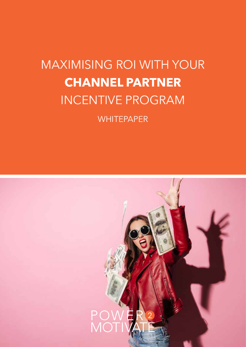# MAXIMISING ROI WITH YOUR **CHANNEL PARTNER** INCENTIVE PROGRAM

**WHITEPAPER** 

# **1.**MAXIMISING YOUR ROI WITH YOUR CHANNEL PARTNER INCENTIVE PROGRAM | power2motivate.com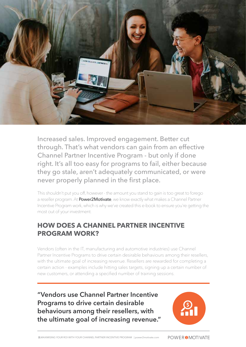

Increased sales. Improved engagement. Better cut through. That's what vendors can gain from an effective Channel Partner Incentive Program - but only if done right. It's all too easy for programs to fail, either because they go stale, aren't adequately communicated, or were never properly planned in the first place.

This shouldn't put you off, however - the amount you stand to gain is too great to forego a reseller program. At Power2Motivate, we know exactly what makes a Channel Partner Incentive Program work, which is why we've created this e-book to ensure you're getting the most out of your investment.

#### **HOW DOES A CHANNEL PARTNER INCENTIVE PROGRAM WORK?**

Vendors (often in the IT, manufacturing and automotive industries) use Channel Partner Incentive Programs to drive certain desirable behaviours among their resellers, with the ultimate goal of increasing revenue. Resellers are rewarded for completing a certain action - examples include hitting sales targets, signing up a certain number of new customers, or attending a specified number of training sessions.

**"Vendors use Channel Partner Incentive Programs to drive certain desirable behaviours among their resellers, with the ultimate goal of increasing revenue."**

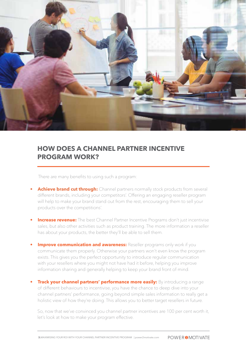

#### **HOW DOES A CHANNEL PARTNER INCENTIVE PROGRAM WORK?**

There are many benefits to using such a program:

- **Achieve brand cut through:** Channel partners normally stock products from several different brands, including your competitors'. Offering an engaging reseller program will help to make your brand stand out from the rest, encouraging them to sell your products over the competitions'.
- **Increase revenue:** The best Channel Partner Incentive Programs don't just incentivise sales, but also other activities such as product training. The more information a reseller has about your products, the better they'll be able to sell them.
- **Improve communication and awareness:** Reseller programs only work if you communicate them properly. Otherwise your partners won't even know the program exists. This gives you the perfect opportunity to introduce regular communication with your resellers where you might not have had it before, helping you improve information sharing and generally helping to keep your brand front of mind.
- **Frack your channel partners' performance more easily:** By introducing a range of different behaviours to incentivise, you have the chance to deep dive into your channel partners' performance, going beyond simple sales information to really get a holistic view of how they're doing. This allows you to better target resellers in future.

So, now that we've convinced you channel partner incentives are 100 per cent worth it, let's look at how to make your program effective.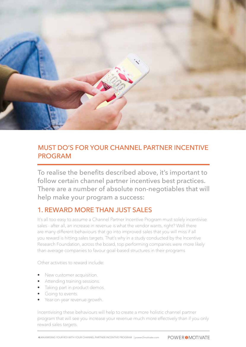

#### MUST DO'S FOR YOUR CHANNEL PARTNER INCENTIVE PROGRAM

To realise the benefits described above, it's important to follow certain channel partner incentives best practices. There are a number of absolute non-negotiables that will help make your program a success:

#### 1. REWARD MORE THAN JUST SALES

It's all too easy to assume a Channel Partner Incentive Program must solely incentivise sales - after all, an increase in revenue is what the vendor wants, right? Well there are many different behaviours that go into improved sales that you will miss if all you reward is hitting sales targets. That's why in a study conducted by the Incentive Research Foundation, across the board, top performing companies were more likely than average companies to favour goal-based structures in their programs

Other activities to reward include:

- New customer acquisition.
- Attending training sessions.
- Taking part in product demos.
- Going to events.
- Year-on-year revenue growth.

Incentivising these behaviours will help to create a more holistic channel partner program that will see you increase your revenue much more effectively than if you only reward sales targets.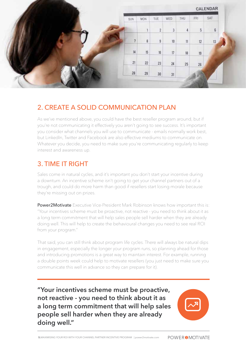| CALENDAR   |     |                            |            |                |        |     |
|------------|-----|----------------------------|------------|----------------|--------|-----|
| SAT        | FRI | THU                        | WED        | TUE            | MON    | SUN |
| $\sqrt{6}$ | 5   | $\sqrt{4}$                 | $\sqrt{3}$ | $\overline{2}$ |        |     |
| 13         | 12  | $\ensuremath{\mathsf{11}}$ | 10         | 9              | 8      |     |
|            | 19  | 18                         | 17         | 16             | 15     | 14  |
|            | 26  | 25                         | 24         | 23             | $22\,$ | 21  |
|            |     |                            | 31         | 30             | 29     | 28  |

#### 2. CREATE A SOLID COMMUNICATION PLAN

As we've mentioned above, you could have the best reseller program around, but if you're not communicating it effectively you aren't going to see success. It's important you consider what channels you will use to communicate - emails normally work best, but LinkedIn, Twitter and Facebook are also effective mediums to communicate on. Whatever you decide, you need to make sure you're communicating regularly to keep interest and awareness up.

## 3. TIME IT RIGHT

Sales come in natural cycles, and it's important you don't start your incentive during a downturn. An incentive scheme isn't going to get your channel partners out of a trough, and could do more harm than good if resellers start losing morale because they're missing out on prizes.

**Power2Motivate** Executive Vice-President Mark Robinson knows how important this is: "Your incentives scheme must be proactive, not reactive - you need to think about it as a long term commitment that will help sales people sell harder when they are already doing well. This will help to create the behavioural changes you need to see real ROI from your program."

That said, you can still think about program life cycles. There will always be natural dips in engagement, especially the longer your program runs, so planning ahead for those and introducing promotions is a great way to maintain interest. For example, running a double points week could help to motivate resellers (you just need to make sure you communicate this well in advance so they can prepare for it).

**"Your incentives scheme must be proactive, not reactive - you need to think about it as a long term commitment that will help sales people sell harder when they are already doing well."** 

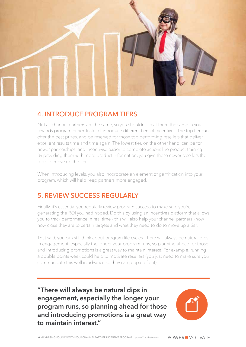

#### 4. INTRODUCE PROGRAM TIERS

Not all channel partners are the same, so you shouldn't treat them the same in your rewards program either. Instead, introduce different tiers of incentives. The top tier can offer the best prizes, and be reserved for those top performing resellers that deliver excellent results time and time again. The lowest tier, on the other hand, can be for newer partnerships, and incentivise easier to complete actions like product training. By providing them with more product information, you give those newer resellers the tools to move up the tiers.

When introducing levels, you also incorporate an element of gamification into your program, which will help keep partners more engaged.

# 5. REVIEW SUCCESS REGULARLY

.

Finally, it's essential you regularly review program success to make sure you're generating the ROI you had hoped. Do this by using an incentives platform that allows you to track performance in real time - this will also help your channel partners know how close they are to certain targets and what they need to do to move up a tier.

That said, you can still think about program life cycles. There will always be natural dips in engagement, especially the longer your program runs, so planning ahead for those and introducing promotions is a great way to maintain interest. For example, running a double points week could help to motivate resellers (you just need to make sure you communicate this well in advance so they can prepare for it).

**"There will always be natural dips in engagement, especially the longer your program runs, so planning ahead for those and introducing promotions is a great way to maintain interest."**